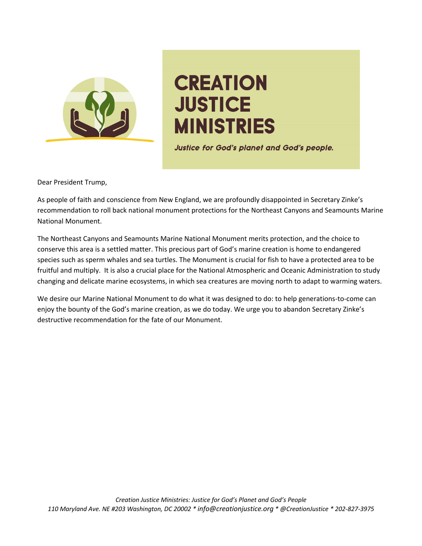

# **CREATION JUSTICE MINISTRIES**

Justice for God's planet and God's people.

Dear President Trump,

As people of faith and conscience from New England, we are profoundly disappointed in Secretary Zinke's recommendation to roll back national monument protections for the Northeast Canyons and Seamounts Marine National Monument.

The Northeast Canyons and Seamounts Marine National Monument merits protection, and the choice to conserve this area is a settled matter. This precious part of God's marine creation is home to endangered species such as sperm whales and sea turtles. The Monument is crucial for fish to have a protected area to be fruitful and multiply. It is also a crucial place for the National Atmospheric and Oceanic Administration to study changing and delicate marine ecosystems, in which sea creatures are moving north to adapt to warming waters.

We desire our Marine National Monument to do what it was designed to do: to help generations-to-come can enjoy the bounty of the God's marine creation, as we do today. We urge you to abandon Secretary Zinke's destructive recommendation for the fate of our Monument.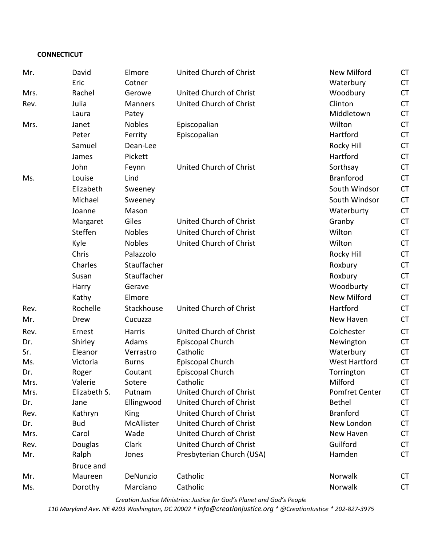## **CONNECTICUT**

| Mr.  | David            | Elmore         | United Church of Christ   | <b>New Milford</b>    | <b>CT</b> |
|------|------------------|----------------|---------------------------|-----------------------|-----------|
|      | Eric             | Cotner         |                           | Waterbury             | <b>CT</b> |
| Mrs. | Rachel           | Gerowe         | United Church of Christ   | Woodbury              | <b>CT</b> |
| Rev. | Julia            | <b>Manners</b> | United Church of Christ   | Clinton               | <b>CT</b> |
|      | Laura            | Patey          |                           | Middletown            | <b>CT</b> |
| Mrs. | Janet            | <b>Nobles</b>  | Episcopalian              | Wilton                | <b>CT</b> |
|      | Peter            | Ferrity        | Episcopalian              | Hartford              | <b>CT</b> |
|      | Samuel           | Dean-Lee       |                           | Rocky Hill            | <b>CT</b> |
|      | James            | Pickett        |                           | Hartford              | <b>CT</b> |
|      | John             | Feynn          | United Church of Christ   | Sorthsay              | <b>CT</b> |
| Ms.  | Louise           | Lind           |                           | <b>Branforod</b>      | <b>CT</b> |
|      | Elizabeth        | Sweeney        |                           | South Windsor         | <b>CT</b> |
|      | Michael          | Sweeney        |                           | South Windsor         | <b>CT</b> |
|      | Joanne           | Mason          |                           | Waterburty            | <b>CT</b> |
|      | Margaret         | Giles          | United Church of Christ   | Granby                | <b>CT</b> |
|      | Steffen          | <b>Nobles</b>  | United Church of Christ   | Wilton                | <b>CT</b> |
|      | Kyle             | <b>Nobles</b>  | United Church of Christ   | Wilton                | <b>CT</b> |
|      | Chris            | Palazzolo      |                           | Rocky Hill            | <b>CT</b> |
|      | Charles          | Stauffacher    |                           | Roxbury               | <b>CT</b> |
|      | Susan            | Stauffacher    |                           | Roxbury               | <b>CT</b> |
|      | Harry            | Gerave         |                           | Woodburty             | <b>CT</b> |
|      | Kathy            | Elmore         |                           | <b>New Milford</b>    | <b>CT</b> |
| Rev. | Rochelle         | Stackhouse     | United Church of Christ   | Hartford              | <b>CT</b> |
| Mr.  | Drew             | Cucuzza        |                           | New Haven             | <b>CT</b> |
| Rev. | Ernest           | Harris         | United Church of Christ   | Colchester            | <b>CT</b> |
| Dr.  | Shirley          | Adams          | Episcopal Church          | Newington             | <b>CT</b> |
| Sr.  | Eleanor          | Verrastro      | Catholic                  | Waterbury             | <b>CT</b> |
| Ms.  | Victoria         | <b>Burns</b>   | Episcopal Church          | <b>West Hartford</b>  | <b>CT</b> |
| Dr.  | Roger            | Coutant        | Episcopal Church          | Torrington            | <b>CT</b> |
| Mrs. | Valerie          | Sotere         | Catholic                  | Milford               | <b>CT</b> |
| Mrs. | Elizabeth S.     | Putnam         | United Church of Christ   | <b>Pomfret Center</b> | <b>CT</b> |
| Dr.  | Jane             | Ellingwood     | United Church of Christ   | <b>Bethel</b>         | <b>CT</b> |
| Rev. | Kathryn          | King           | United Church of Christ   | <b>Branford</b>       | <b>CT</b> |
| Dr.  | <b>Bud</b>       | McAllister     | United Church of Christ   | New London            | <b>CT</b> |
| Mrs. | Carol            | Wade           | United Church of Christ   | New Haven             | <b>CT</b> |
| Rev. | Douglas          | Clark          | United Church of Christ   | Guilford              | <b>CT</b> |
| Mr.  | Ralph            | Jones          | Presbyterian Church (USA) | Hamden                | <b>CT</b> |
|      | <b>Bruce and</b> |                |                           |                       |           |
| Mr.  | Maureen          | DeNunzio       | Catholic                  | Norwalk               | <b>CT</b> |
| Ms.  | Dorothy          | Marciano       | Catholic                  | Norwalk               | <b>CT</b> |

*Creation Justice Ministries: Justice for God's Planet and God's People*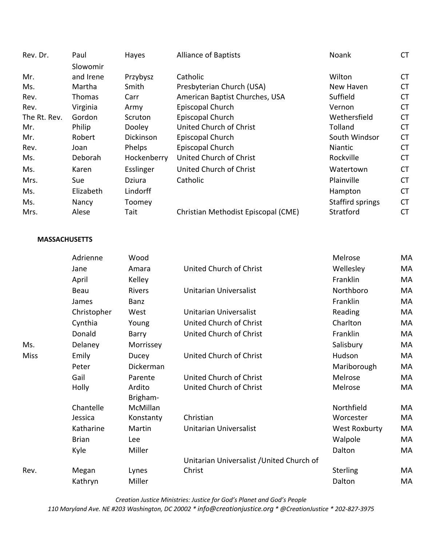| Rev. Dr.     | Paul      | Hayes       | <b>Alliance of Baptists</b>         | Noank            | <b>CT</b> |
|--------------|-----------|-------------|-------------------------------------|------------------|-----------|
|              | Slowomir  |             |                                     |                  |           |
| Mr.          | and Irene | Przybysz    | Catholic                            | Wilton           | <b>CT</b> |
| Ms.          | Martha    | Smith       | Presbyterian Church (USA)           | New Haven        | <b>CT</b> |
| Rev.         | Thomas    | Carr        | American Baptist Churches, USA      | Suffield         | <b>CT</b> |
| Rev.         | Virginia  | Army        | Episcopal Church                    | Vernon           | <b>CT</b> |
| The Rt. Rev. | Gordon    | Scruton     | Episcopal Church                    | Wethersfield     | <b>CT</b> |
| Mr.          | Philip    | Dooley      | United Church of Christ             | Tolland          | <b>CT</b> |
| Mr.          | Robert    | Dickinson   | Episcopal Church                    | South Windsor    | <b>CT</b> |
| Rev.         | Joan      | Phelps      | Episcopal Church                    | Niantic          | <b>CT</b> |
| Ms.          | Deborah   | Hockenberry | United Church of Christ             | Rockville        | <b>CT</b> |
| Ms.          | Karen     | Esslinger   | United Church of Christ             | Watertown        | <b>CT</b> |
| Mrs.         | Sue       | Dziura      | Catholic                            | Plainville       | <b>CT</b> |
| Ms.          | Elizabeth | Lindorff    |                                     | Hampton          | <b>CT</b> |
| Ms.          | Nancy     | Toomey      |                                     | Staffird springs | <b>CT</b> |
| Mrs.         | Alese     | Tait        | Christian Methodist Episcopal (CME) | Stratford        | <b>CT</b> |
|              |           |             |                                     |                  |           |

## **MASSACHUSETTS**

|      | Adrienne     | Wood               |                                           | Melrose       | МA |
|------|--------------|--------------------|-------------------------------------------|---------------|----|
|      | Jane         | Amara              | United Church of Christ                   | Wellesley     | MA |
|      | April        | Kelley             |                                           | Franklin      | MA |
|      | Beau         | <b>Rivers</b>      | Unitarian Universalist                    | Northboro     | МA |
|      | James        | Banz               |                                           | Franklin      | МA |
|      | Christopher  | West               | <b>Unitarian Universalist</b>             | Reading       | МA |
|      | Cynthia      | Young              | United Church of Christ                   | Charlton      | МA |
|      | Donald       | Barry              | United Church of Christ                   | Franklin      | MA |
| Ms.  | Delaney      | Morrissey          |                                           | Salisbury     | МA |
| Miss | Emily        | Ducey              | United Church of Christ                   | Hudson        | МA |
|      | Peter        | Dickerman          |                                           | Mariborough   | МA |
|      | Gail         | Parente            | United Church of Christ                   | Melrose       | MA |
|      | Holly        | Ardito<br>Brigham- | United Church of Christ                   | Melrose       | МA |
|      | Chantelle    | McMillan           |                                           | Northfield    | МA |
|      | Jessica      | Konstanty          | Christian                                 | Worcester     | МA |
|      | Katharine    | Martin             | Unitarian Universalist                    | West Roxburty | МA |
|      | <b>Brian</b> | Lee                |                                           | Walpole       | МA |
|      | Kyle         | Miller             |                                           | Dalton        | МA |
|      |              |                    | Unitarian Universalist / United Church of |               |    |
| Rev. | Megan        | Lynes              | Christ                                    | Sterling      | МA |
|      | Kathryn      | Miller             |                                           | Dalton        | MA |
|      |              |                    |                                           |               |    |

*Creation Justice Ministries: Justice for God's Planet and God's People 110 Maryland Ave. NE #203 Washington, DC 20002 \* info@creationjustice.org \* @CreationJustice \* 202-827-3975*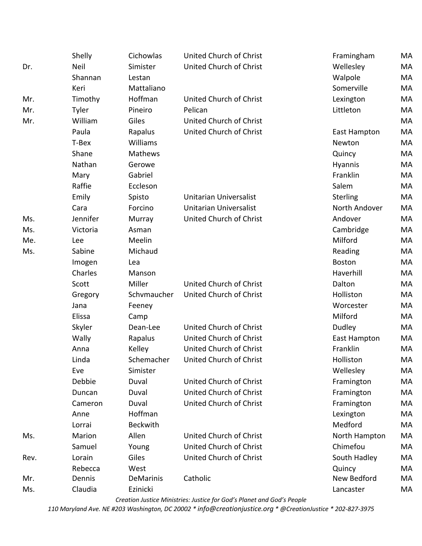|      | Shelly      | Cichowlas        | United Church of Christ       | Framingham    | MA |
|------|-------------|------------------|-------------------------------|---------------|----|
| Dr.  | <b>Neil</b> | Simister         | United Church of Christ       | Wellesley     | MA |
|      | Shannan     | Lestan           |                               | Walpole       | MA |
|      | Keri        | Mattaliano       |                               | Somerville    | MA |
| Mr.  | Timothy     | Hoffman          | United Church of Christ       | Lexington     | MA |
| Mr.  | Tyler       | Pineiro          | Pelican                       | Littleton     | MA |
| Mr.  | William     | Giles            | United Church of Christ       |               | MA |
|      | Paula       | Rapalus          | United Church of Christ       | East Hampton  | MA |
|      | T-Bex       | Williams         |                               | Newton        | MA |
|      | Shane       | Mathews          |                               | Quincy        | MA |
|      | Nathan      | Gerowe           |                               | Hyannis       | MA |
|      | Mary        | Gabriel          |                               | Franklin      | MA |
|      | Raffie      | Eccleson         |                               | Salem         | MA |
|      | Emily       | Spisto           | <b>Unitarian Universalist</b> | Sterling      | MA |
|      | Cara        | Forcino          | Unitarian Universalist        | North Andover | MA |
| Ms.  | Jennifer    | Murray           | United Church of Christ       | Andover       | MA |
| Ms.  | Victoria    | Asman            |                               | Cambridge     | MA |
| Me.  | Lee         | Meelin           |                               | Milford       | MA |
| Ms.  | Sabine      | Michaud          |                               | Reading       | MA |
|      | Imogen      | Lea              |                               | <b>Boston</b> | MA |
|      | Charles     | Manson           |                               | Haverhill     | MA |
|      | Scott       | Miller           | United Church of Christ       | Dalton        | MA |
|      | Gregory     | Schvmaucher      | United Church of Christ       | Holliston     | MA |
|      | Jana        | Feeney           |                               | Worcester     | MA |
|      | Elissa      | Camp             |                               | Milford       | MA |
|      | Skyler      | Dean-Lee         | United Church of Christ       | Dudley        | MA |
|      | Wally       | Rapalus          | United Church of Christ       | East Hampton  | MA |
|      | Anna        | Kelley           | United Church of Christ       | Franklin      | MA |
|      | Linda       | Schemacher       | United Church of Christ       | Holliston     | МA |
|      | Eve         | Simister         |                               | Wellesley     | MA |
|      | Debbie      | Duval            | United Church of Christ       | Framington    | MA |
|      | Duncan      | Duval            | United Church of Christ       | Framington    | MA |
|      | Cameron     | Duval            | United Church of Christ       | Framington    | MA |
|      | Anne        | Hoffman          |                               | Lexington     | MA |
|      | Lorrai      | <b>Beckwith</b>  |                               | Medford       | MA |
| Ms.  | Marion      | Allen            | United Church of Christ       | North Hampton | MA |
|      | Samuel      | Young            | United Church of Christ       | Chimefou      | MA |
| Rev. | Lorain      | Giles            | United Church of Christ       | South Hadley  | MA |
|      | Rebecca     | West             |                               | Quincy        | MA |
| Mr.  | Dennis      | <b>DeMarinis</b> | Catholic                      | New Bedford   | MA |
| Ms.  | Claudia     | Ezinicki         |                               | Lancaster     | MA |

*Creation Justice Ministries: Justice for God's Planet and God's People*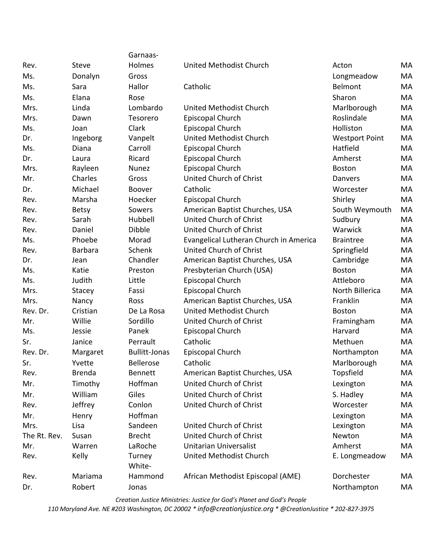|              |                | Garnaas-             |                                        |                       |    |
|--------------|----------------|----------------------|----------------------------------------|-----------------------|----|
| Rev.         | <b>Steve</b>   | Holmes               | United Methodist Church                | Acton                 | MA |
| Ms.          | Donalyn        | Gross                |                                        | Longmeadow            | MA |
| Ms.          | Sara           | Hallor               | Catholic                               | Belmont               | MA |
| Ms.          | Elana          | Rose                 |                                        | Sharon                | MA |
| Mrs.         | Linda          | Lombardo             | United Methodist Church                | Marlborough           | MA |
| Mrs.         | Dawn           | Tesorero             | Episcopal Church                       | Roslindale            | MA |
| Ms.          | Joan           | Clark                | Episcopal Church                       | Holliston             | MA |
| Dr.          | Ingeborg       | Vanpelt              | United Methodist Church                | <b>Westport Point</b> | MA |
| Ms.          | Diana          | Carroll              | Episcopal Church                       | Hatfield              | MA |
| Dr.          | Laura          | Ricard               | Episcopal Church                       | Amherst               | MA |
| Mrs.         | Rayleen        | Nunez                | Episcopal Church                       | <b>Boston</b>         | MA |
| Mr.          | Charles        | Gross                | United Church of Christ                | Danvers               | MA |
| Dr.          | Michael        | <b>Boover</b>        | Catholic                               | Worcester             | MA |
| Rev.         | Marsha         | Hoecker              | Episcopal Church                       | Shirley               | MA |
| Rev.         | <b>Betsy</b>   | Sowers               | American Baptist Churches, USA         | South Weymouth        | MA |
| Rev.         | Sarah          | Hubbell              | United Church of Christ                | Sudbury               | MA |
| Rev.         | Daniel         | <b>Dibble</b>        | United Church of Christ                | Warwick               | MA |
| Ms.          | Phoebe         | Morad                | Evangelical Lutheran Church in America | <b>Braintree</b>      | MA |
| Rev.         | <b>Barbara</b> | Schenk               | United Church of Christ                | Springfield           | MA |
| Dr.          | Jean           | Chandler             | American Baptist Churches, USA         | Cambridge             | MA |
| Ms.          | Katie          | Preston              | Presbyterian Church (USA)              | <b>Boston</b>         | MA |
| Ms.          | Judith         | Little               | Episcopal Church                       | Attleboro             | MA |
| Mrs.         | Stacey         | Fassi                | Episcopal Church                       | North Billerica       | MA |
| Mrs.         | Nancy          | Ross                 | American Baptist Churches, USA         | Franklin              | MA |
| Rev. Dr.     | Cristian       | De La Rosa           | United Methodist Church                | <b>Boston</b>         | MA |
| Mr.          | Willie         | Sordillo             | United Church of Christ                | Framingham            | MA |
| Ms.          | Jessie         | Panek                | Episcopal Church                       | Harvard               | MA |
| Sr.          | Janice         | Perrault             | Catholic                               | Methuen               | MA |
| Rev. Dr.     | Margaret       | <b>Bullitt-Jonas</b> | Episcopal Church                       | Northampton           | MA |
| Sr.          | Yvette         | <b>Bellerose</b>     | Catholic                               | Marlborough           | MA |
| Rev.         | <b>Brenda</b>  | <b>Bennett</b>       | American Baptist Churches, USA         | Topsfield             | MA |
| Mr.          | Timothy        | Hoffman              | United Church of Christ                | Lexington             | MA |
| Mr.          | William        | Giles                | United Church of Christ                | S. Hadley             | MA |
| Rev.         | Jeffrey        | Conlon               | United Church of Christ                | Worcester             | MA |
| Mr.          | Henry          | Hoffman              |                                        | Lexington             | MA |
| Mrs.         | Lisa           | Sandeen              | United Church of Christ                | Lexington             | MA |
| The Rt. Rev. | Susan          | <b>Brecht</b>        | United Church of Christ                | Newton                | MA |
| Mr.          | Warren         | LaRoche              | Unitarian Universalist                 | Amherst               | MA |
| Rev.         | Kelly          | Turney<br>White-     | United Methodist Church                | E. Longmeadow         | MA |
| Rev.         | Mariama        | Hammond              | African Methodist Episcopal (AME)      | Dorchester            | MA |
| Dr.          | Robert         | Jonas                |                                        | Northampton           | MA |

*Creation Justice Ministries: Justice for God's Planet and God's People*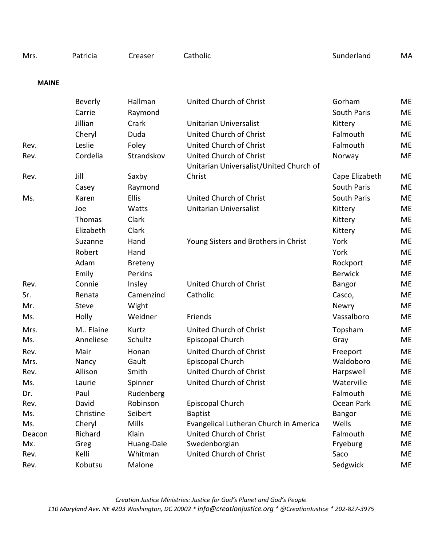| <b>MAINE</b> |                |                |                                                                    |                |           |
|--------------|----------------|----------------|--------------------------------------------------------------------|----------------|-----------|
|              | <b>Beverly</b> | Hallman        | United Church of Christ                                            | Gorham         | <b>ME</b> |
|              | Carrie         | Raymond        |                                                                    | South Paris    | <b>ME</b> |
|              | Jillian        | Crark          | Unitarian Universalist                                             | Kittery        | <b>ME</b> |
|              | Cheryl         | Duda           | United Church of Christ                                            | Falmouth       | <b>ME</b> |
| Rev.         | Leslie         | Foley          | United Church of Christ                                            | Falmouth       | <b>ME</b> |
| Rev.         | Cordelia       | Strandskov     | United Church of Christ<br>Unitarian Universalist/United Church of | Norway         | <b>ME</b> |
| Rev.         | Jill           | Saxby          | Christ                                                             | Cape Elizabeth | <b>ME</b> |
|              | Casey          | Raymond        |                                                                    | South Paris    | <b>ME</b> |
| Ms.          | Karen          | <b>Ellis</b>   | United Church of Christ                                            | South Paris    | <b>ME</b> |
|              | Joe            | Watts          | <b>Unitarian Universalist</b>                                      | Kittery        | <b>ME</b> |
|              | Thomas         | Clark          |                                                                    | Kittery        | <b>ME</b> |
|              | Elizabeth      | Clark          |                                                                    | Kittery        | <b>ME</b> |
|              | Suzanne        | Hand           | Young Sisters and Brothers in Christ                               | York           | <b>ME</b> |
|              | Robert         | Hand           |                                                                    | York           | <b>ME</b> |
|              | Adam           | <b>Breteny</b> |                                                                    | Rockport       | <b>ME</b> |
|              | Emily          | Perkins        |                                                                    | <b>Berwick</b> | <b>ME</b> |
| Rev.         | Connie         | Insley         | United Church of Christ                                            | <b>Bangor</b>  | <b>ME</b> |
| Sr.          | Renata         | Camenzind      | Catholic                                                           | Casco,         | <b>ME</b> |
| Mr.          | Steve          | Wight          |                                                                    | Newry          | ME        |
| Ms.          | Holly          | Weidner        | Friends                                                            | Vassalboro     | <b>ME</b> |
| Mrs.         | M., Elaine     | Kurtz          | United Church of Christ                                            | Topsham        | <b>ME</b> |
| Ms.          | Anneliese      | Schultz        | Episcopal Church                                                   | Gray           | <b>ME</b> |
| Rev.         | Mair           | Honan          | United Church of Christ                                            | Freeport       | <b>ME</b> |
| Mrs.         | Nancy          | Gault          | Episcopal Church                                                   | Waldoboro      | <b>ME</b> |
| Rev.         | Allison        | Smith          | United Church of Christ                                            | Harpswell      | <b>ME</b> |
| Ms.          | Laurie         | Spinner        | United Church of Christ                                            | Waterville     | ME        |
| Dr.          | Paul           | Rudenberg      |                                                                    | Falmouth       | <b>ME</b> |
| Rev.         | David          | Robinson       | Episcopal Church                                                   | Ocean Park     | <b>ME</b> |
| Ms.          | Christine      | Seibert        | <b>Baptist</b>                                                     | Bangor         | <b>ME</b> |
| Ms.          | Cheryl         | <b>Mills</b>   | Evangelical Lutheran Church in America                             | Wells          | <b>ME</b> |
| Deacon       | Richard        | Klain          | United Church of Christ                                            | Falmouth       | ME        |
| Mx.          | Greg           | Huang-Dale     | Swedenborgian                                                      | Fryeburg       | <b>ME</b> |
| Rev.         | Kelli          | Whitman        | United Church of Christ                                            | Saco           | ME        |
| Rev.         | Kobutsu        | Malone         |                                                                    | Sedgwick       | ME        |

Mrs. Patricia Creaser Catholic **Canada Creaser Catholic** Catholic Sunderland MA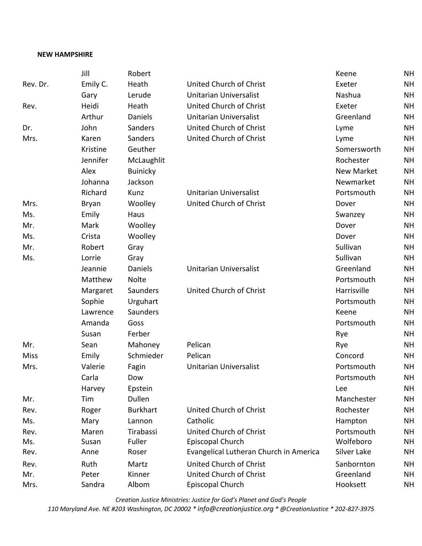### **NEW HAMPSHIRE**

|             | Jill         | Robert          |                                        | Keene             | <b>NH</b> |
|-------------|--------------|-----------------|----------------------------------------|-------------------|-----------|
| Rev. Dr.    | Emily C.     | Heath           | United Church of Christ                | Exeter            | <b>NH</b> |
|             | Gary         | Lerude          | Unitarian Universalist                 | Nashua            | <b>NH</b> |
| Rev.        | Heidi        | Heath           | United Church of Christ                | Exeter            | <b>NH</b> |
|             | Arthur       | <b>Daniels</b>  | <b>Unitarian Universalist</b>          | Greenland         | <b>NH</b> |
| Dr.         | John         | Sanders         | United Church of Christ                | Lyme              | <b>NH</b> |
| Mrs.        | Karen        | Sanders         | United Church of Christ                | Lyme              | <b>NH</b> |
|             | Kristine     | Geuther         |                                        | Somersworth       | <b>NH</b> |
|             | Jennifer     | McLaughlit      |                                        | Rochester         | <b>NH</b> |
|             | Alex         | <b>Buinicky</b> |                                        | <b>New Market</b> | <b>NH</b> |
|             | Johanna      | Jackson         |                                        | Newmarket         | <b>NH</b> |
|             | Richard      | Kunz            | <b>Unitarian Universalist</b>          | Portsmouth        | <b>NH</b> |
| Mrs.        | <b>Bryan</b> | Woolley         | United Church of Christ                | Dover             | <b>NH</b> |
| Ms.         | Emily        | Haus            |                                        | Swanzey           | <b>NH</b> |
| Mr.         | Mark         | Woolley         |                                        | Dover             | <b>NH</b> |
| Ms.         | Crista       | Woolley         |                                        | Dover             | <b>NH</b> |
| Mr.         | Robert       | Gray            |                                        | Sullivan          | <b>NH</b> |
| Ms.         | Lorrie       | Gray            |                                        | Sullivan          | <b>NH</b> |
|             | Jeannie      | <b>Daniels</b>  | Unitarian Universalist                 | Greenland         | <b>NH</b> |
|             | Matthew      | <b>Nolte</b>    |                                        | Portsmouth        | <b>NH</b> |
|             | Margaret     | Saunders        | United Church of Christ                | Harrisville       | <b>NH</b> |
|             | Sophie       | Urguhart        |                                        | Portsmouth        | <b>NH</b> |
|             | Lawrence     | Saunders        |                                        | Keene             | <b>NH</b> |
|             | Amanda       | Goss            |                                        | Portsmouth        | <b>NH</b> |
|             | Susan        | Ferber          |                                        | Rye               | <b>NH</b> |
| Mr.         | Sean         | Mahoney         | Pelican                                | Rye               | <b>NH</b> |
| <b>Miss</b> | Emily        | Schmieder       | Pelican                                | Concord           | <b>NH</b> |
| Mrs.        | Valerie      | Fagin           | Unitarian Universalist                 | Portsmouth        | <b>NH</b> |
|             | Carla        | Dow             |                                        | Portsmouth        | <b>NH</b> |
|             | Harvey       | Epstein         |                                        | Lee               | <b>NH</b> |
| Mr.         | Tim          | Dullen          |                                        | Manchester        | <b>NH</b> |
| Rev.        | Roger        | <b>Burkhart</b> | United Church of Christ                | Rochester         | <b>NH</b> |
| Ms.         | Mary         | Lannon          | Catholic                               | Hampton           | <b>NH</b> |
| Rev.        | Maren        | Tirabassi       | United Church of Christ                | Portsmouth        | <b>NH</b> |
| Ms.         | Susan        | Fuller          | Episcopal Church                       | Wolfeboro         | <b>NH</b> |
| Rev.        | Anne         | Roser           | Evangelical Lutheran Church in America | Silver Lake       | <b>NH</b> |
| Rev.        | Ruth         | Martz           | United Church of Christ                | Sanbornton        | <b>NH</b> |
| Mr.         | Peter        | Kinner          | United Church of Christ                | Greenland         | <b>NH</b> |
| Mrs.        | Sandra       | Albom           | Episcopal Church                       | Hooksett          | <b>NH</b> |

*Creation Justice Ministries: Justice for God's Planet and God's People*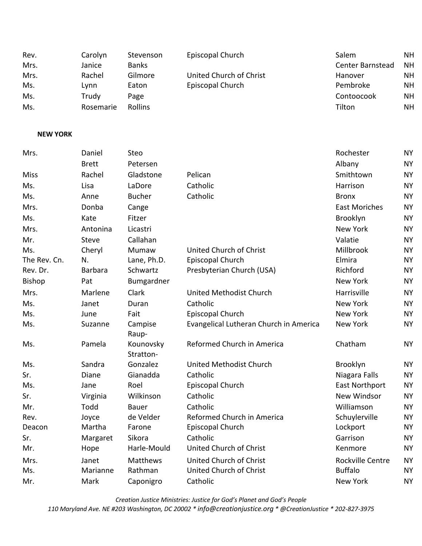| Rev.<br>Mrs.    | Carolyn<br>Janice | Stevenson<br><b>Banks</b> | Episcopal Church                       | Salem<br>Center Barnstead | <b>NH</b><br><b>NH</b> |
|-----------------|-------------------|---------------------------|----------------------------------------|---------------------------|------------------------|
| Mrs.            | Rachel            | Gilmore                   | United Church of Christ                | Hanover                   | <b>NH</b>              |
| Ms.             | Lynn              | Eaton                     | Episcopal Church                       | Pembroke                  | <b>NH</b>              |
| Ms.             | Trudy             | Page                      |                                        | Contoocook                | <b>NH</b>              |
| Ms.             | Rosemarie         | Rollins                   |                                        | Tilton                    | <b>NH</b>              |
|                 |                   |                           |                                        |                           |                        |
| <b>NEW YORK</b> |                   |                           |                                        |                           |                        |
| Mrs.            | Daniel            | Steo                      |                                        | Rochester                 | <b>NY</b>              |
|                 | <b>Brett</b>      | Petersen                  |                                        | Albany                    | <b>NY</b>              |
| <b>Miss</b>     | Rachel            | Gladstone                 | Pelican                                | Smithtown                 | <b>NY</b>              |
| Ms.             | Lisa              | LaDore                    | Catholic                               | Harrison                  | <b>NY</b>              |
| Ms.             | Anne              | <b>Bucher</b>             | Catholic                               | <b>Bronx</b>              | <b>NY</b>              |
| Mrs.            | Donba             | Cange                     |                                        | <b>East Moriches</b>      | <b>NY</b>              |
| Ms.             | Kate              | Fitzer                    |                                        | Brooklyn                  | <b>NY</b>              |
| Mrs.            | Antonina          | Licastri                  |                                        | <b>New York</b>           | <b>NY</b>              |
| Mr.             | Steve             | Callahan                  |                                        | Valatie                   | <b>NY</b>              |
| Ms.             | Cheryl            | Mumaw                     | <b>United Church of Christ</b>         | Millbrook                 | <b>NY</b>              |
| The Rev. Cn.    | N.                | Lane, Ph.D.               | Episcopal Church                       | Elmira                    | <b>NY</b>              |
| Rev. Dr.        | <b>Barbara</b>    | Schwartz                  | Presbyterian Church (USA)              | Richford                  | <b>NY</b>              |
| <b>Bishop</b>   | Pat               | Bumgardner                |                                        | <b>New York</b>           | <b>NY</b>              |
| Mrs.            | Marlene           | Clark                     | United Methodist Church                | Harrisville               | <b>NY</b>              |
| Ms.             | Janet             | Duran                     | Catholic                               | <b>New York</b>           | <b>NY</b>              |
| Ms.             | June              | Fait                      | Episcopal Church                       | <b>New York</b>           | <b>NY</b>              |
| Ms.             | Suzanne           | Campise<br>Raup-          | Evangelical Lutheran Church in America | New York                  | <b>NY</b>              |
| Ms.             | Pamela            | Kounovsky<br>Stratton-    | Reformed Church in America             | Chatham                   | <b>NY</b>              |
| Ms.             | Sandra            | Gonzalez                  | United Methodist Church                | Brooklyn                  | NY                     |
| Sr.             | Diane             | Gianadda                  | Catholic                               | Niagara Falls             | <b>NY</b>              |
| Ms.             | Jane              | Roel                      | Episcopal Church                       | East Northport            | <b>NY</b>              |
| Sr.             | Virginia          | Wilkinson                 | Catholic                               | New Windsor               | <b>NY</b>              |
| Mr.             | Todd              | <b>Bauer</b>              | Catholic                               | Williamson                | <b>NY</b>              |
| Rev.            | Joyce             | de Velder                 | Reformed Church in America             | Schuylerville             | NY                     |
| Deacon          | Martha            | Farone                    | Episcopal Church                       | Lockport                  | NY                     |

*Creation Justice Ministries: Justice for God's Planet and God's People 110 Maryland Ave. NE #203 Washington, DC 20002 \* info@creationjustice.org \* @CreationJustice \* 202-827-3975*

Sr. Margaret Sikora Catholic Garrison NY Mr. Mope Harle-Mould United Church of Christ Kenmore NY Mrs. Matthews United Church of Christ Rockville Centre NY Ms. Marianne Rathman United Church of Christ Church Buffalo NY Mr. Mark Caponigro Catholic **New York** NY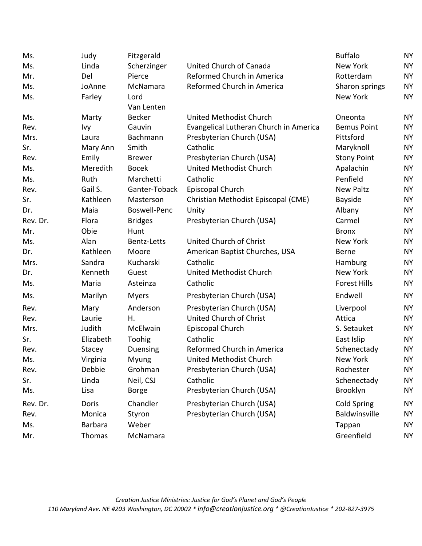| Ms.      | Judy           | Fitzgerald          |                                        | <b>Buffalo</b>      | <b>NY</b> |
|----------|----------------|---------------------|----------------------------------------|---------------------|-----------|
| Ms.      | Linda          | Scherzinger         | United Church of Canada                | <b>New York</b>     | <b>NY</b> |
| Mr.      | Del            | Pierce              | Reformed Church in America             | Rotterdam           | <b>NY</b> |
| Ms.      | JoAnne         | McNamara            | Reformed Church in America             | Sharon springs      | <b>NY</b> |
| Ms.      | Farley         | Lord                |                                        | New York            | <b>NY</b> |
|          |                | Van Lenten          |                                        |                     |           |
| Ms.      | Marty          | <b>Becker</b>       | United Methodist Church                | Oneonta             | <b>NY</b> |
| Rev.     | Ivy            | Gauvin              | Evangelical Lutheran Church in America | <b>Bemus Point</b>  | <b>NY</b> |
| Mrs.     | Laura          | Bachmann            | Presbyterian Church (USA)              | Pittsford           | <b>NY</b> |
| Sr.      | Mary Ann       | Smith               | Catholic                               | Maryknoll           | <b>NY</b> |
| Rev.     | Emily          | <b>Brewer</b>       | Presbyterian Church (USA)              | <b>Stony Point</b>  | <b>NY</b> |
| Ms.      | Meredith       | <b>Bocek</b>        | United Methodist Church                | Apalachin           | <b>NY</b> |
| Ms.      | Ruth           | Marchetti           | Catholic                               | Penfield            | <b>NY</b> |
| Rev.     | Gail S.        | Ganter-Toback       | Episcopal Church                       | <b>New Paltz</b>    | <b>NY</b> |
| Sr.      | Kathleen       | Masterson           | Christian Methodist Episcopal (CME)    | Bayside             | <b>NY</b> |
| Dr.      | Maia           | <b>Boswell-Penc</b> | Unity                                  | Albany              | <b>NY</b> |
| Rev. Dr. | Flora          | <b>Bridges</b>      | Presbyterian Church (USA)              | Carmel              | <b>NY</b> |
| Mr.      | Obie           | Hunt                |                                        | <b>Bronx</b>        | <b>NY</b> |
| Ms.      | Alan           | <b>Bentz-Letts</b>  | United Church of Christ                | New York            | <b>NY</b> |
| Dr.      | Kathleen       | Moore               | American Baptist Churches, USA         | <b>Berne</b>        | <b>NY</b> |
| Mrs.     | Sandra         | Kucharski           | Catholic                               | Hamburg             | <b>NY</b> |
| Dr.      | Kenneth        | Guest               | United Methodist Church                | New York            | <b>NY</b> |
| Ms.      | Maria          | Asteinza            | Catholic                               | <b>Forest Hills</b> | <b>NY</b> |
| Ms.      | Marilyn        | <b>Myers</b>        | Presbyterian Church (USA)              | Endwell             | <b>NY</b> |
| Rev.     | Mary           | Anderson            | Presbyterian Church (USA)              | Liverpool           | <b>NY</b> |
| Rev.     | Laurie         | Η.                  | United Church of Christ                | Attica              | <b>NY</b> |
| Mrs.     | Judith         | McElwain            | Episcopal Church                       | S. Setauket         | <b>NY</b> |
| Sr.      | Elizabeth      | Toohig              | Catholic                               | East Islip          | <b>NY</b> |
| Rev.     | Stacey         | Duensing            | Reformed Church in America             | Schenectady         | <b>NY</b> |
| Ms.      | Virginia       | Myung               | United Methodist Church                | New York            | <b>NY</b> |
| Rev.     | Debbie         | Grohman             | Presbyterian Church (USA)              | Rochester           | <b>NY</b> |
| Sr.      | Linda          | Neil, CSJ           | Catholic                               | Schenectady         | <b>NY</b> |
| Ms.      | Lisa           | <b>Borge</b>        | Presbyterian Church (USA)              | Brooklyn            | <b>NY</b> |
| Rev. Dr. | Doris          | Chandler            | Presbyterian Church (USA)              | <b>Cold Spring</b>  | <b>NY</b> |
| Rev.     | Monica         | Styron              | Presbyterian Church (USA)              | Baldwinsville       | <b>NY</b> |
| Ms.      | <b>Barbara</b> | Weber               |                                        | Tappan              | <b>NY</b> |
| Mr.      | Thomas         | McNamara            |                                        | Greenfield          | <b>NY</b> |